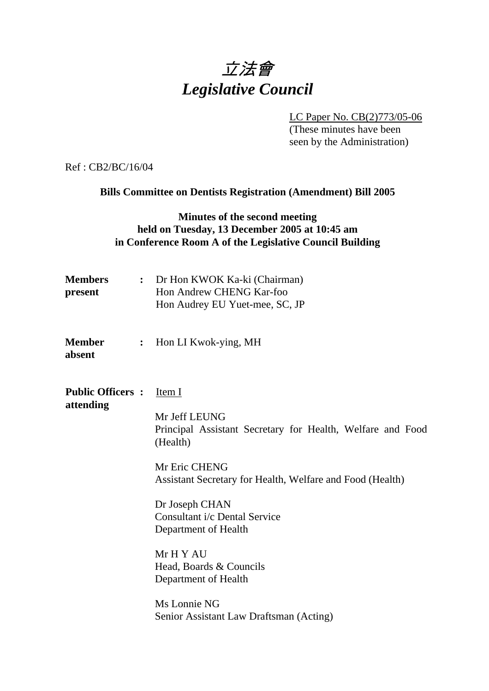# 立法會 *Legislative Council*

 LC Paper No. CB(2)773/05-06 (These minutes have been seen by the Administration)

Ref : CB2/BC/16/04

**Bills Committee on Dentists Registration (Amendment) Bill 2005** 

### **Minutes of the second meeting held on Tuesday, 13 December 2005 at 10:45 am in Conference Room A of the Legislative Council Building**

| <b>Members</b><br>present            |                | : Dr Hon KWOK Ka-ki (Chairman)<br>Hon Andrew CHENG Kar-foo<br>Hon Audrey EU Yuet-mee, SC, JP                                                                                                                                                                                                                                                                                          |
|--------------------------------------|----------------|---------------------------------------------------------------------------------------------------------------------------------------------------------------------------------------------------------------------------------------------------------------------------------------------------------------------------------------------------------------------------------------|
| <b>Member</b><br>absent              | $\ddot{\cdot}$ | Hon LI Kwok-ying, MH                                                                                                                                                                                                                                                                                                                                                                  |
| <b>Public Officers:</b><br>attending |                | Item I<br>Mr Jeff LEUNG<br>Principal Assistant Secretary for Health, Welfare and Food<br>(Health)<br>Mr Eric CHENG<br>Assistant Secretary for Health, Welfare and Food (Health)<br>Dr Joseph CHAN<br>Consultant i/c Dental Service<br>Department of Health<br>Mr H Y AU<br>Head, Boards & Councils<br>Department of Health<br>Ms Lonnie NG<br>Senior Assistant Law Draftsman (Acting) |
|                                      |                |                                                                                                                                                                                                                                                                                                                                                                                       |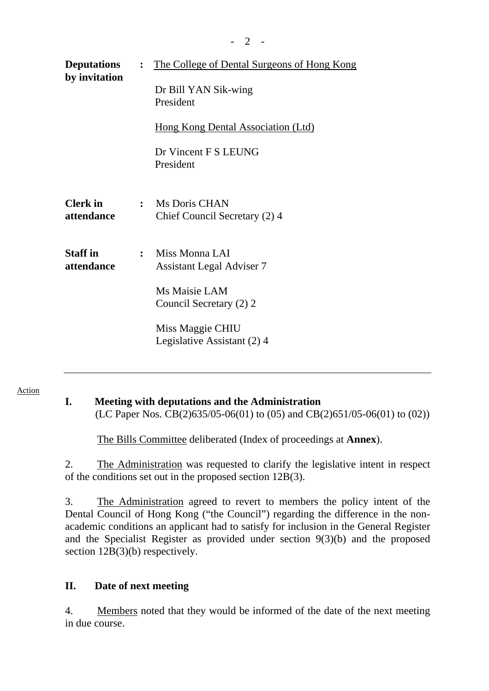| <b>Deputations</b><br>by invitation | $\ddot{\cdot}$ | <u>The College of Dental Surgeons of Hong Kong</u> |  |
|-------------------------------------|----------------|----------------------------------------------------|--|
|                                     |                | Dr Bill YAN Sik-wing<br>President                  |  |
|                                     |                | <u>Hong Kong Dental Association (Ltd)</u>          |  |
|                                     |                | Dr Vincent F S LEUNG<br>President                  |  |
| <b>Clerk</b> in<br>attendance       | $\ddot{\cdot}$ | Ms Doris CHAN<br>Chief Council Secretary (2) 4     |  |
| <b>Staff</b> in<br>attendance       | $\mathbf{r}$   | Miss Monna LAI<br><b>Assistant Legal Adviser 7</b> |  |
|                                     |                | Ms Maisie LAM<br>Council Secretary (2) 2           |  |
|                                     |                | Miss Maggie CHIU<br>Legislative Assistant (2) 4    |  |

#### Action

## **I. Meeting with deputations and the Administration**

(LC Paper Nos. CB(2)635/05-06(01) to (05) and CB(2)651/05-06(01) to (02))

The Bills Committee deliberated (Index of proceedings at **Annex**).

2. The Administration was requested to clarify the legislative intent in respect of the conditions set out in the proposed section 12B(3).

3. The Administration agreed to revert to members the policy intent of the Dental Council of Hong Kong ("the Council") regarding the difference in the nonacademic conditions an applicant had to satisfy for inclusion in the General Register and the Specialist Register as provided under section 9(3)(b) and the proposed section  $12B(3)(b)$  respectively.

#### **II. Date of next meeting**

4. Members noted that they would be informed of the date of the next meeting in due course.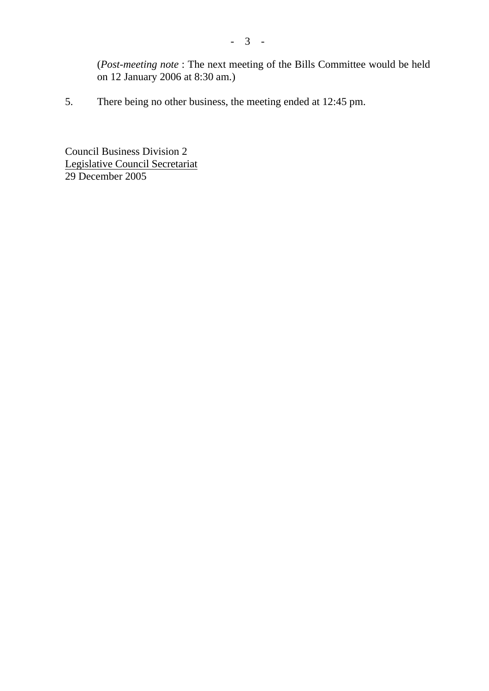(*Post-meeting note* : The next meeting of the Bills Committee would be held on 12 January 2006 at 8:30 am.)

5. There being no other business, the meeting ended at 12:45 pm.

Council Business Division 2 Legislative Council Secretariat 29 December 2005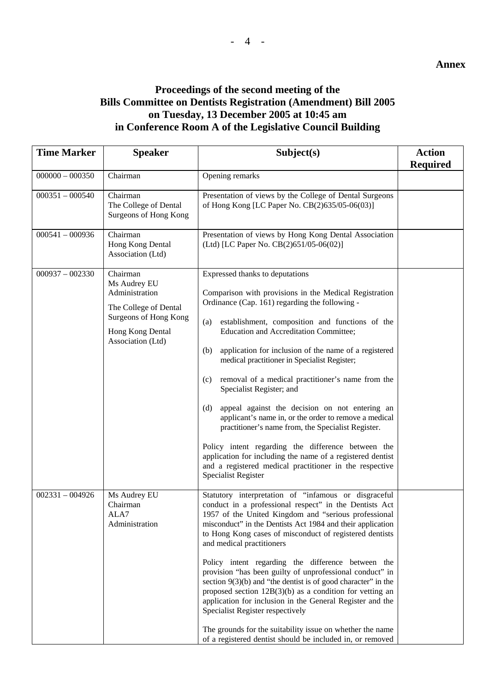#### **Annex**

## **Proceedings of the second meeting of the Bills Committee on Dentists Registration (Amendment) Bill 2005 on Tuesday, 13 December 2005 at 10:45 am in Conference Room A of the Legislative Council Building**

| <b>Time Marker</b> | <b>Speaker</b>                                                                                                                        | Subject(s)                                                                                                                                                                                                                                                                                                                                                                                                                                                                                                                                                                                                                                                                                                                                                                                                                                   | <b>Action</b><br><b>Required</b> |
|--------------------|---------------------------------------------------------------------------------------------------------------------------------------|----------------------------------------------------------------------------------------------------------------------------------------------------------------------------------------------------------------------------------------------------------------------------------------------------------------------------------------------------------------------------------------------------------------------------------------------------------------------------------------------------------------------------------------------------------------------------------------------------------------------------------------------------------------------------------------------------------------------------------------------------------------------------------------------------------------------------------------------|----------------------------------|
| $000000 - 000350$  | Chairman                                                                                                                              | Opening remarks                                                                                                                                                                                                                                                                                                                                                                                                                                                                                                                                                                                                                                                                                                                                                                                                                              |                                  |
| $000351 - 000540$  | Chairman<br>The College of Dental<br>Surgeons of Hong Kong                                                                            | Presentation of views by the College of Dental Surgeons<br>of Hong Kong [LC Paper No. CB(2)635/05-06(03)]                                                                                                                                                                                                                                                                                                                                                                                                                                                                                                                                                                                                                                                                                                                                    |                                  |
| $000541 - 000936$  | Chairman<br>Hong Kong Dental<br>Association (Ltd)                                                                                     | Presentation of views by Hong Kong Dental Association<br>(Ltd) [LC Paper No. CB(2)651/05-06(02)]                                                                                                                                                                                                                                                                                                                                                                                                                                                                                                                                                                                                                                                                                                                                             |                                  |
| $000937 - 002330$  | Chairman<br>Ms Audrey EU<br>Administration<br>The College of Dental<br>Surgeons of Hong Kong<br>Hong Kong Dental<br>Association (Ltd) | Expressed thanks to deputations<br>Comparison with provisions in the Medical Registration<br>Ordinance (Cap. 161) regarding the following -<br>establishment, composition and functions of the<br>(a)<br><b>Education and Accreditation Committee;</b><br>application for inclusion of the name of a registered<br>(b)<br>medical practitioner in Specialist Register;<br>removal of a medical practitioner's name from the<br>(c)<br>Specialist Register; and<br>appeal against the decision on not entering an<br>(d)<br>applicant's name in, or the order to remove a medical<br>practitioner's name from, the Specialist Register.<br>Policy intent regarding the difference between the<br>application for including the name of a registered dentist<br>and a registered medical practitioner in the respective<br>Specialist Register |                                  |
| $002331 - 004926$  | Ms Audrey EU<br>Chairman<br>ALA7<br>Administration                                                                                    | Statutory interpretation of "infamous or disgraceful<br>conduct in a professional respect" in the Dentists Act<br>1957 of the United Kingdom and "serious professional<br>misconduct" in the Dentists Act 1984 and their application<br>to Hong Kong cases of misconduct of registered dentists<br>and medical practitioners<br>Policy intent regarding the difference between the<br>provision "has been guilty of unprofessional conduct" in<br>section $9(3)(b)$ and "the dentist is of good character" in the<br>proposed section $12B(3)(b)$ as a condition for vetting an<br>application for inclusion in the General Register and the<br>Specialist Register respectively<br>The grounds for the suitability issue on whether the name<br>of a registered dentist should be included in, or removed                                   |                                  |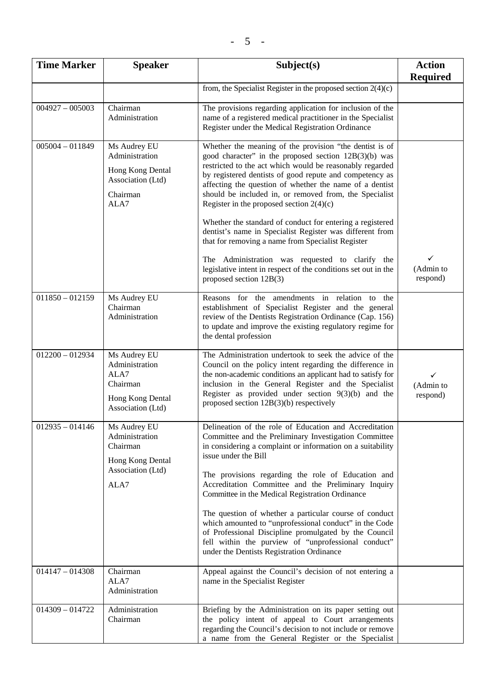| <b>Time Marker</b> | <b>Speaker</b>                                                                              | Subject(s)                                                                                                                                                                                                                                                                                                                                                                                                                                                                                                                                                                                                                                                                                                                               | <b>Action</b><br><b>Required</b> |
|--------------------|---------------------------------------------------------------------------------------------|------------------------------------------------------------------------------------------------------------------------------------------------------------------------------------------------------------------------------------------------------------------------------------------------------------------------------------------------------------------------------------------------------------------------------------------------------------------------------------------------------------------------------------------------------------------------------------------------------------------------------------------------------------------------------------------------------------------------------------------|----------------------------------|
|                    |                                                                                             | from, the Specialist Register in the proposed section $2(4)(c)$                                                                                                                                                                                                                                                                                                                                                                                                                                                                                                                                                                                                                                                                          |                                  |
| $004927 - 005003$  | Chairman<br>Administration                                                                  | The provisions regarding application for inclusion of the<br>name of a registered medical practitioner in the Specialist<br>Register under the Medical Registration Ordinance                                                                                                                                                                                                                                                                                                                                                                                                                                                                                                                                                            |                                  |
| $005004 - 011849$  | Ms Audrey EU<br>Administration<br>Hong Kong Dental<br>Association (Ltd)<br>Chairman<br>ALA7 | Whether the meaning of the provision "the dentist is of<br>good character" in the proposed section 12B(3)(b) was<br>restricted to the act which would be reasonably regarded<br>by registered dentists of good repute and competency as<br>affecting the question of whether the name of a dentist<br>should be included in, or removed from, the Specialist<br>Register in the proposed section $2(4)(c)$<br>Whether the standard of conduct for entering a registered<br>dentist's name in Specialist Register was different from<br>that for removing a name from Specialist Register<br>The Administration was requested to clarify the<br>legislative intent in respect of the conditions set out in the<br>proposed section 12B(3) | ✓<br>(Admin to<br>respond)       |
| $011850 - 012159$  | Ms Audrey EU<br>Chairman<br>Administration                                                  | Reasons for the amendments in relation to the<br>establishment of Specialist Register and the general<br>review of the Dentists Registration Ordinance (Cap. 156)<br>to update and improve the existing regulatory regime for<br>the dental profession                                                                                                                                                                                                                                                                                                                                                                                                                                                                                   |                                  |
| $012200 - 012934$  | Ms Audrey EU<br>Administration<br>ALA7<br>Chairman<br>Hong Kong Dental<br>Association (Ltd) | The Administration undertook to seek the advice of the<br>Council on the policy intent regarding the difference in<br>the non-academic conditions an applicant had to satisfy for<br>inclusion in the General Register and the Specialist<br>Register as provided under section $9(3)(b)$ and the<br>proposed section 12B(3)(b) respectively                                                                                                                                                                                                                                                                                                                                                                                             | ✓<br>(Admin to<br>respond)       |
| $012935 - 014146$  | Ms Audrey EU<br>Administration<br>Chairman<br>Hong Kong Dental<br>Association (Ltd)<br>ALA7 | Delineation of the role of Education and Accreditation<br>Committee and the Preliminary Investigation Committee<br>in considering a complaint or information on a suitability<br>issue under the Bill<br>The provisions regarding the role of Education and<br>Accreditation Committee and the Preliminary Inquiry<br>Committee in the Medical Registration Ordinance<br>The question of whether a particular course of conduct<br>which amounted to "unprofessional conduct" in the Code<br>of Professional Discipline promulgated by the Council<br>fell within the purview of "unprofessional conduct"<br>under the Dentists Registration Ordinance                                                                                   |                                  |
| $014147 - 014308$  | Chairman<br>ALA7<br>Administration                                                          | Appeal against the Council's decision of not entering a<br>name in the Specialist Register                                                                                                                                                                                                                                                                                                                                                                                                                                                                                                                                                                                                                                               |                                  |
| $014309 - 014722$  | Administration<br>Chairman                                                                  | Briefing by the Administration on its paper setting out<br>the policy intent of appeal to Court arrangements<br>regarding the Council's decision to not include or remove<br>a name from the General Register or the Specialist                                                                                                                                                                                                                                                                                                                                                                                                                                                                                                          |                                  |